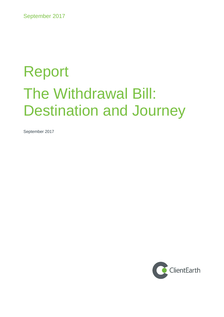# Report The Withdrawal Bill: Destination and Journey

September 2017

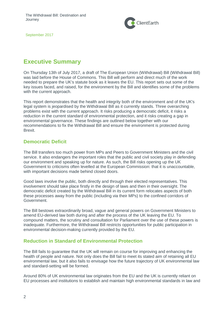

# <span id="page-1-0"></span>**Executive Summary**

On Thursday 13th of July 2017, a draft of The European Union (Withdrawal) Bill (Withdrawal Bill) was laid before the House of Commons. This Bill will perform and direct much of the work needed to prepare the UK's statute book as it leaves the EU. This report sets out some of the key issues faced, and raised, for the environment by the Bill and identifies some of the problems with the current approach.

This report demonstrates that the health and integrity both of the environment and of the UK's legal system is jeopardised by the Withdrawal Bill as it currently stands. Three overarching problems exist with the current approach. It risks producing a democratic deficit, it risks a reduction in the current standard of environmental protection, and it risks creating a gap in environmental governance. These findings are outlined below together with our recommendations to fix the Withdrawal Bill and ensure the environment is protected during Brexit.

## **Democratic Deficit**

The Bill transfers too much power from MPs and Peers to Government Ministers and the civil service. It also endangers the important roles that the public and civil society play in defending our environment and speaking up for nature. As such, the Bill risks opening up the UK Government to criticisms often levelled at the European Commission: that it is unaccountable, with important decisions made behind closed doors.

Good laws involve the public, both directly and through their elected representatives. This involvement should take place firstly in the design of laws and then in their oversight. The democratic deficit created by the Withdrawal Bill in its current form relocates aspects of both these processes away from the public (including via their MPs) to the confined corridors of Government.

The Bill bestows extraordinarily broad, vague and general powers on Government Ministers to amend EU-derived law both during and after the process of the UK leaving the EU. To compound matters, the scrutiny and consultation for Parliament over the use of these powers is inadequate. Furthermore, the Withdrawal Bill restricts opportunities for public participation in environmental decision-making currently provided by the EU.

# **Reduction in Standard of Environmental Protection**

The Bill fails to guarantee that the UK will remain on course for improving and enhancing the health of people and nature. Not only does the Bill fail to meet its stated aim of retaining all EU environmental law, but it also fails to envisage how the future trajectory of UK environmental law and standard-setting will be formed.

Around 80% of UK environmental law originates from the EU and the UK is currently reliant on EU processes and institutions to establish and maintain high environmental standards in law and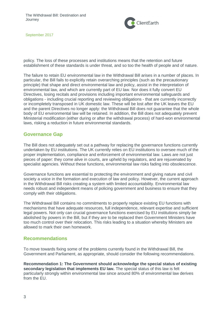

policy. The loss of these processes and institutions means that the retention and future establishment of these standards is under threat, and so too the health of people and of nature.

The failure to retain EU environmental law in the Withdrawal Bill arises in a number of places. In particular, the Bill fails to explicitly retain overarching principles (such as the precautionary principle) that shape and direct environmental law and policy, assist in the interpretation of environmental law, and which are currently part of EU law. Nor does it fully convert EU Directives, losing recitals and provisions including important environmental safeguards and obligations - including crucial reporting and reviewing obligations - that are currently incorrectly or incompletely transposed in UK domestic law. These will be lost after the UK leaves the EU and the parent Directives no longer apply: the Withdrawal Bill does not guarantee that the whole body of EU environmental law will be retained. In addition, the Bill does not adequately prevent Ministerial modification (either during or after the withdrawal process) of hard-won environmental laws, risking a reduction in future environmental standards.

#### **Governance Gap**

The Bill does not adequately set out a pathway for replacing the governance functions currently undertaken by EU institutions. The UK currently relies on EU institutions to oversee much of the proper implementation, compliance and enforcement of environmental law. Laws are not just pieces of paper: they come alive in courts, are upheld by regulators, and are rejuvenated by specialist agencies. Without these functions, environmental law risks fading into obsolescence.

Governance functions are essential to protecting the environment and giving nature and civil society a voice in the formation and execution of law and policy. However, the current approach in the Withdrawal Bill risks creating a system with limited accountability. Environmental law needs robust and independent means of policing government and business to ensure that they comply with their obligations.

The Withdrawal Bill contains no commitments to properly replace existing EU functions with mechanisms that have adequate resources, full independence, relevant expertise and sufficient legal powers. Not only can crucial governance functions exercised by EU institutions simply be abolished by powers in the Bill, but if they are to be replaced then Government Ministers have too much control over their relocation. This risks leading to a situation whereby Ministers are allowed to mark their own homework.

#### <span id="page-2-0"></span>**Recommendations**

To move towards fixing some of the problems currently found in the Withdrawal Bill, the Government and Parliament, as appropriate, should consider the following recommendations.

**Recommendation 1: The Government should acknowledge the special status of existing secondary legislation that implements EU law.** The special status of this law is felt particularly strongly within environmental law since around 80% of environmental law derives from the EU.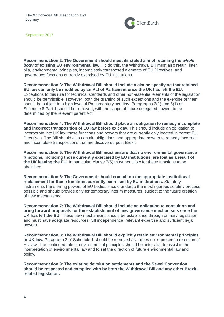

**Recommendation 2: The Government should meet its stated aim of retaining the** *whole body* **of existing EU environmental law.** To do this, the Withdrawal Bill must also retain, inter alia, environmental principles, incompletely transposed elements of EU Directives, and governance functions currently exercised by EU institutions.

**Recommendation 3: The Withdrawal Bill should include a clause specifying that retained EU law can only be modified by an Act of Parliament once the UK has left the EU.**  Exceptions to this rule for technical standards and other non-essential elements of the legislation should be permissible. However, both the granting of such exceptions and the exercise of them should be subject to a high level of Parliamentary scrutiny. Paragraphs 3(1) and 5(1) of Schedule 8 Part 1 should be removed, with the scope of future delegated powers to be determined by the relevant parent Act.

**Recommendation 4: The Withdrawal Bill should place an obligation to remedy incomplete and incorrect transposition of EU law before exit day.** This should include an obligation to incorporate into UK law those functions and powers that are currently only located in parent EU Directives. The Bill should also contain obligations and appropriate powers to remedy incorrect and incomplete transpositions that are discovered post-Brexit.

**Recommendation 5: The Withdrawal Bill must ensure that no environmental governance functions, including those currently exercised by EU institutions, are lost as a result of the UK leaving the EU.** In particular, clause 7(5) must not allow for these functions to be abolished.

**Recommendation 6: The Government should consult on the appropriate institutional replacement for those functions currently exercised by EU institutions.** Statutory instruments transferring powers of EU bodies should undergo the most rigorous scrutiny process possible and should provide only for temporary interim measures, subject to the future creation of new mechanisms.

**Recommendation 7: The Withdrawal Bill should include an obligation to consult on and bring forward proposals for the establishment of new governance mechanisms once the UK has left the EU.** These new mechanisms should be established through primary legislation and must have adequate resources, full independence, relevant expertise and sufficient legal powers.

**Recommendation 8: The Withdrawal Bill should explicitly retain environmental principles in UK law.** Paragraph 3 of Schedule 1 should be removed as it does not represent a retention of EU law. The continued role of environmental principles should be, inter alia, to assist in the interpretation of environmental law and to set the direction of future environmental law and policy.

**Recommendation 9: The existing devolution settlements and the Sewel Convention should be respected and complied with by both the Withdrawal Bill and any other Brexitrelated legislation.**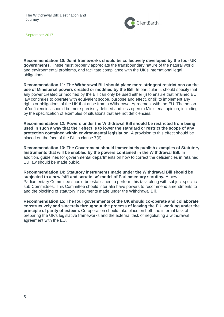

**Recommendation 10: Joint frameworks should be collectively developed by the four UK governments.** These must properly appreciate the transboundary nature of the natural world and environmental problems, and facilitate compliance with the UK's international legal obligations.

**Recommendation 11: The Withdrawal Bill should place more stringent restrictions on the use of Ministerial powers created or modified by the Bill.** In particular, it should specify that any power created or modified by the Bill can only be used either (i) to ensure that retained EU law continues to operate with equivalent scope, purpose and effect, or (ii) to implement any rights or obligations of the UK that arise from a Withdrawal Agreement with the EU. The notion of 'deficiencies' should be more precisely defined and less open to Ministerial opinion, including by the specification of examples of situations that are not deficiencies.

**Recommendation 12: Powers under the Withdrawal Bill should be restricted from being used in such a way that their effect is to lower the standard or restrict the scope of any protection contained within environmental legislation.** A provision to this effect should be placed on the face of the Bill in clause 7(6).

**Recommendation 13: The Government should immediately publish examples of Statutory Instruments that will be enabled by the powers contained in the Withdrawal Bill.** In addition, guidelines for governmental departments on how to correct the deficiencies in retained EU law should be made public.

**Recommendation 14: Statutory instruments made under the Withdrawal Bill should be subjected to a new 'sift and scrutinise' model of Parliamentary scrutiny.** A new Parliamentary Committee should be established to perform this task along with subject specific sub-Committees. This Committee should inter alia have powers to recommend amendments to and the blocking of statutory instruments made under the Withdrawal Bill.

**Recommendation 15: The four governments of the UK should co-operate and collaborate constructively and sincerely throughout the process of leaving the EU, working under the principle of parity of esteem.** Co-operation should take place on both the internal task of preparing the UK's legislative frameworks and the external task of negotiating a withdrawal agreement with the EU.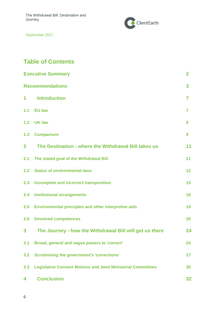The Withdrawal Bill: Destination and Journey



September 2017

# **Table of Contents**

| <b>Executive Summary</b>    |                                                                     |                |  |
|-----------------------------|---------------------------------------------------------------------|----------------|--|
| 3<br><b>Recommendations</b> |                                                                     |                |  |
| 1                           | <b>Introduction</b>                                                 | $\overline{7}$ |  |
| 1.1                         | <b>EU law</b>                                                       | $\overline{7}$ |  |
| 1.2 <sub>2</sub>            | <b>UK law</b>                                                       | 8              |  |
| 1.3                         | <b>Comparison</b>                                                   | 9              |  |
| $\overline{2}$              | The Destination - where the Withdrawal Bill takes us                | 11             |  |
| 2.1                         | The stated goal of the Withdrawal Bill                              | 11             |  |
| 2.2 <sub>2</sub>            | <b>Status of environmental laws</b>                                 | 12             |  |
| 2.3                         | Incomplete and incorrect transposition                              | 15             |  |
| 2.4                         | <b>Institutional arrangements</b>                                   | 16             |  |
| 2.5                         | <b>Environmental principles and other interpretive aids</b>         | 19             |  |
| 2.6                         | <b>Devolved competences</b>                                         | 20             |  |
| 3                           | The Journey - how the Withdrawal Bill will get us there             | 24             |  |
| 3.1                         | Broad, general and vague powers to 'correct'                        | 24             |  |
| 3.2                         | <b>Scrutinising the government's 'corrections'</b>                  | 27             |  |
| 3.3                         | <b>Legislative Consent Motions and Joint Ministerial Committees</b> | 30             |  |
| 4                           | <b>Conclusion</b>                                                   | 32             |  |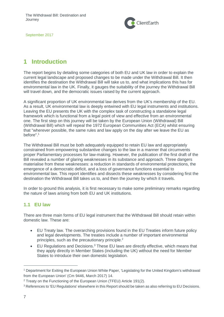

# <span id="page-6-0"></span>**1 Introduction**

The report begins by detailing some categories of both EU and UK law in order to explain the current legal landscape and proposed changes to be made under the Withdrawal Bill. It then identifies the destination the Withdrawal Bill will take us to, and what implications this has for environmental law in the UK. Finally, it gauges the suitability of the journey the Withdrawal Bill will travel down, and the democratic issues raised by the current approach.

A significant proportion of UK environmental law derives from the UK's membership of the EU. As a result, UK environmental law is deeply entwined with EU legal instruments and institutions. Leaving the EU presents the UK with the complex task of constructing a standalone legal framework which is functional from a legal point of view and effective from an environmental one. The first step on this journey will be taken by the European Union (Withdrawal) Bill (Withdrawal Bill) which will repeal the 1972 European Communities Act (ECA) whilst ensuring that "wherever possible, the same rules and law apply on the day after we leave the EU as before".<sup>1</sup>

The Withdrawal Bill must be both adequately equipped to retain EU law and appropriately constrained from empowering substantive changes to the law in a manner that circumvents proper Parliamentary processes for law-making. However, the publication of the first draft of the Bill revealed a number of glaring weaknesses in its substance and approach. Three dangers materialise from these weaknesses: a reduction in standards of environmental protections, the emergence of a democratic deficit, and a loss of governance functions essential to environmental law. This report identifies and dissects these weaknesses by considering first the destination the Withdrawal Bill takes us to, and then the journey by which it travels.

In order to ground this analysis, it is first necessary to make some preliminary remarks regarding the nature of laws arising from both EU and UK institutions.

## <span id="page-6-1"></span>**1.1 EU law**

There are three main forms of EU legal instrument that the Withdrawal Bill should retain within domestic law. These are:

- EU Treaty law. The overarching provisions found in the EU Treaties inform future policy and legal developments. The treaties include a number of important environmental principles, such as the precautionary principle.<sup>2</sup>
- EU Regulations and Decisions.<sup>3</sup> These EU laws are directly effective, which means that they apply directly in Member States (including the UK) without the need for Member States to introduce their own domestic legislation.

<sup>1</sup> Department for Exiting the European Union White Paper, 'Legislating for the United Kingdom's withdrawal from the European Union' (Cm 9446, March 2017) 14.

<sup>&</sup>lt;sup>2</sup> Treaty on the Functioning of the European Union (TFEU) Article 191(2).

<sup>3</sup> References to 'EU Regulations' elsewhere in this Report should be taken as also referring to EU Decisions.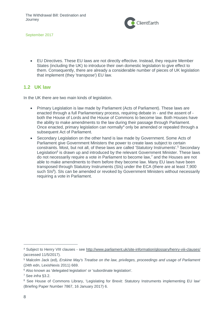

 EU Directives. These EU laws are not directly effective. Instead, they require Member States (including the UK) to introduce their own domestic legislation to give effect to them. Consequently, there are already a considerable number of pieces of UK legislation that implement (they 'transpose') EU law.

#### <span id="page-7-0"></span>**1.2 UK law**

In the UK there are two main kinds of legislation.

- Primary Legislation is law made by Parliament (Acts of Parliament). These laws are enacted through a full Parliamentary process, requiring debate in - and the assent of both the House of Lords and the House of Commons to become law. Both Houses have the ability to make amendments to the law during their passage through Parliament. Once enacted, primary legislation can normally<sup>4</sup> only be amended or repealed through a subsequent Act of Parliament.
- <span id="page-7-1"></span> Secondary Legislation on the other hand is law made by Government. Some Acts of Parliament give Government Ministers the power to create laws subject to certain constraints. Most, but not all, of these laws are called 'Statutory Instruments'.<sup>5</sup> Secondary Legislation<sup>6</sup> is drawn up and introduced by the relevant Government Minister. These laws do not necessarily require a vote in Parliament to become law, <sup>7</sup> and the Houses are not able to make amendments to them before they become law. Many EU laws have been transposed through Statutory Instruments (SIs) under the ECA (there are at least 7,900 such SIs<sup>8</sup>). SIs can be amended or revoked by Government Ministers without necessarily requiring a vote in Parliament.

<sup>6</sup> Also known as 'delegated legislation' or 'subordinate legislation'.

<sup>4</sup> Subject to Henry VIII clauses - see<http://www.parliament.uk/site-information/glossary/henry-viii-clauses/> (accessed 11/5/2017).

<sup>5</sup> Malcolm Jack (ed), *Erskine May's Treatise on the law, privileges, proceedings and usage of Parliament*  (24th edn, LexisNexis 2011) 669.

<sup>7</sup> See *infra* §3.2.

<sup>&</sup>lt;sup>8</sup> See House of Commons Library, 'Legislating for Brexit: Statutory Instruments implementing EU law' (Briefing Paper Number 7867, 16 January 2017) 6.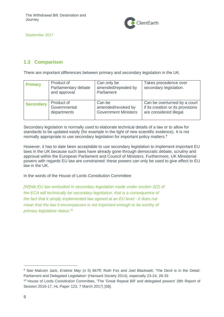

# **1.3 Comparison**

There are important differences between primary and secondary legislation in the UK.

| <b>Primary</b>   | Product of<br>Parliamentary debate<br>and approval | Can only be<br>amended/repealed by<br>Parliament | Takes precedence over<br>secondary legislation. |
|------------------|----------------------------------------------------|--------------------------------------------------|-------------------------------------------------|
| <b>Secondary</b> | Product of                                         | Can be                                           | Can be overturned by a court                    |
|                  | Governmental                                       | amended/revoked by                               | if its creation or its provisions               |
|                  | departments                                        | <b>Government Ministers</b>                      | are considered illegal.                         |

Secondary legislation is normally used to elaborate technical details of a law or to allow for standards to be updated easily (for example in the light of new scientific evidence). It is not normally appropriate to use secondary legislation for important policy matters.<sup>9</sup>

However, it has to date been acceptable to use secondary legislation to implement important EU laws in the UK because such laws have already gone through democratic debate, scrutiny and approval within the European Parliament and Council of Ministers. Furthermore, UK Ministerial powers with regards EU law are constrained: these powers can only be used to give effect to EU law in the UK.

In the words of the House of Lords Constitution Committee:

*[W]hile EU law embodied in secondary legislation made under section 2(2) of the ECA will technically be secondary legislation, that is a consequence of the fact that it simply implemented law agreed at an EU level - it does not mean that the law it encompasses is not important enough to be worthy of primary legislative status*. 10

<sup>9</sup> See Malcom Jack, *Erskine May* (n 5) 667ff; Ruth Fox and Joel Blackwell, 'The Devil is in the Detail: Parliament and Delegated Legislation' (Hansard Society 2014), especially 23-24, 28-33

<sup>10</sup> House of Lords Constitution Committee, 'The 'Great Repeal Bill' and delegated powers' (9th Report of Session 2016-17, HL Paper 123, 7 March 2017) [58].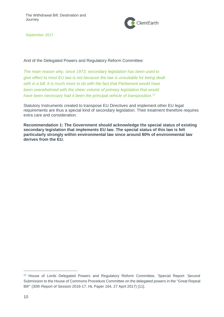

And of the Delegated Powers and Regulatory Reform Committee:

*The main reason why, since 1973, secondary legislation has been used to give effect to most EU law is not because the law is unsuitable for being dealt with in a bill. It is much more to do with the fact that Parliament would have been overwhelmed with the sheer volume of primary legislation that would have been necessary had it been the principal vehicle of transposition*. 11

Statutory Instruments created to transpose EU Directives and implement other EU legal requirements are thus a special kind of secondary legislation. Their treatment therefore requires extra care and consideration.

**Recommendation 1: The Government should acknowledge the special status of existing secondary legislation that implements EU law. The special status of this law is felt particularly strongly within environmental law since around 80% of environmental law derives from the EU.**

<sup>11</sup> House of Lords Delegated Powers and Regulatory Reform Committee, 'Special Report: Second Submission to the House of Commons Procedure Committee on the delegated powers in the "Great Repeal Bill"' (30th Report of Session 2016-17, HL Paper 164, 27 April 2017) [11].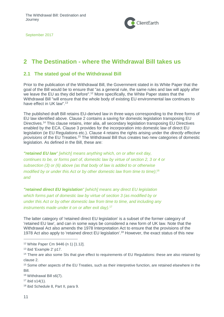

# <span id="page-10-0"></span>**2 The Destination - where the Withdrawal Bill takes us**

## <span id="page-10-1"></span>**2.1 The stated goal of the Withdrawal Bill**

Prior to the publication of the Withdrawal Bill, the Government stated in its White Paper that the goal of the Bill would be to ensure that "as a general rule, the same rules and law will apply after we leave the EU as they did before".<sup>12</sup> More specifically, the White Paper states that the Withdrawal Bill "will ensure that the whole body of existing EU environmental law continues to have effect in UK law".<sup>13</sup>

The published draft Bill retains EU-derived law in three ways corresponding to the three forms of EU law identified above. Clause 2 contains a saving for domestic legislation transposing EU Directives.<sup>14</sup> This clause retains, inter alia, all secondary legislation transposing EU Directives enabled by the ECA. Clause 3 provides for the incorporation into domestic law of direct EU legislation (ie EU Regulations etc.). Clause 4 retains the rights arising under the *directly effective provisions* of the EU Treaties.<sup>15</sup> The Withdrawal Bill thus creates two new categories of domestic legislation. As defined in the Bill, these are:

*"retained EU law" [which] means anything which, on or after exit day, continues to be, or forms part of, domestic law by virtue of section 2, 3 or 4 or subsection (3) or (6) above (as that body of law is added to or otherwise modified by or under this Act or by other domestic law from time to time)*; 16 *and*

*"retained direct EU legislation" [which] means any direct EU legislation which forms part of domestic law by virtue of section 3 (as modified by or under this Act or by other domestic law from time to time, and including any instruments made under it on or after exit day).* 17

The latter category of 'retained direct EU legislation' is a subset of the former category of 'retained EU law', and can in some ways be considered a new form of UK law. Note that the Withdrawal Act also amends the 1978 Interpretation Act to ensure that the provisions of the 1978 Act also apply to 'retained direct EU legislation'.<sup>18</sup> However, the exact status of this new

 $17$  ibid s14 $(1)$ .

<sup>12</sup> White Paper Cm 9446 (n 1) [1.12].

<sup>13</sup> ibid 'Example 2' p17.

<sup>&</sup>lt;sup>14</sup> There are also some SIs that give effect to requirements of EU Regulations: these are also retained by clause 2.

<sup>15</sup> Some other aspects of the EU Treaties, such as their interpretive function, are retained elsewhere in the Bill.

<sup>16</sup> Withdrawal Bill s6(7).

<sup>18</sup> ibid Schedule 8, Part II, para 9.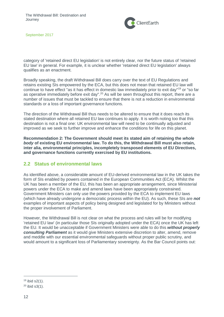

category of 'retained direct EU legislation' is not entirely clear, nor the future status of 'retained EU law' in general. For example, it is unclear whether 'retained direct EU legislation' always qualifies as an enactment.

Broadly speaking, the draft Withdrawal Bill does carry over the text of EU Regulations and retains existing SIs empowered by the ECA, but this does not mean that retained EU law will continue to have effect "as it has effect in domestic law immediately prior to exit day"<sup>19</sup> or "so far as operative immediately before exit day".<sup>20</sup> As will be seen throughout this report, there are a number of issues that must be tackled to ensure that there is not a reduction in environmental standards or a loss of important governance functions.

The direction of the Withdrawal Bill thus needs to be altered to ensure that it does reach its stated destination where all retained EU law continues to apply. It is worth noting too that this destination is not a final one: UK environmental law will need to be continually adjusted and improved as we seek to further improve and enhance the conditions for life on this planet.

**Recommendation 2: The Government should meet its stated aim of retaining the** *whole body* **of existing EU environmental law. To do this, the Withdrawal Bill must also retain, inter alia, environmental principles, incompletely transposed elements of EU Directives, and governance functions currently exercised by EU institutions.** 

#### <span id="page-11-0"></span>**2.2 Status of environmental laws**

As identified above, a considerable amount of EU-derived environmental law in the UK takes the form of SIs enabled by powers contained in the European Communities Act (ECA). Whilst the UK has been a member of the EU, this has been an appropriate arrangement, since Ministerial powers under the ECA to make and amend laws have been appropriately constrained. Government Ministers can only use the powers provided by the ECA to implement EU laws (which have already undergone a democratic process within the EU). As such, these SIs are *not* examples of important aspects of policy being designed and legislated for by Ministers without the proper involvement of Parliament.

However, the Withdrawal Bill is not clear on what the process and rules will be for modifying 'retained EU law' (in particular those SIs originally adopted under the ECA) once the UK has left the EU. It would be unacceptable if Government Ministers were able to do this *without properly consulting Parliament* as it would give Ministers extensive discretion to alter, amend, remove and meddle with our essential environmental safeguards without proper public scrutiny, and would amount to a significant loss of Parliamentary sovereignty. As the Bar Council points out:

 $19$  ibid s2(1).

 $20$  ibid s3(1).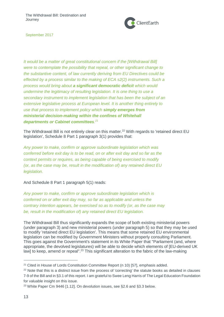

*It would be a matter of great constitutional concern if the [Withdrawal Bill] were to contemplate the possibility that repeal, or other significant change to the substantive content, of law currently deriving from EU Directives could be effected by a process similar to the making of ECA s2(2) instruments. Such a process would bring about a significant democratic deficit which would undermine the legitimacy of resulting legislation. It is one thing to use a secondary instrument to implement legislation that has been the subject of an*  extensive legislative process at European level. It is another thing entirely to *use that process to implement policy which simply emerges from ministerial decision-making within the confines of Whitehall departments or Cabinet committees. 21*

The Withdrawal Bill is not entirely clear on this matter.<sup>22</sup> With regards to 'retained direct EU legislation', Schedule 8 Part 1 paragraph 3(1) provides that:

*Any power to make, confirm or approve subordinate legislation which was conferred before exit day is to be read, on or after exit day and so far as the context permits or requires, as being capable of being exercised to modify (or, as the case may be, result in the modification of) any retained direct EU legislation.*

And Schedule 8 Part 1 paragraph 5(1) reads:

*Any power to make, confirm or approve subordinate legislation which is conferred on or after exit day may, so far as applicable and unless the contrary intention appears, be exercised so as to modify (or, as the case may be, result in the modification of) any retained direct EU legislation.*

The Withdrawal Bill thus significantly expands the scope of both existing ministerial powers (under paragraph 3) and new ministerial powers (under paragraph 5) so that they may be used to modify 'retained direct EU legislation'. This means that some retained EU environmental legislation can be modified by Government Ministers without properly consulting Parliament. This goes against the Government's statement in its White Paper that "Parliament (and, where appropriate, the devolved legislatures) will be able to decide which elements of [EU-derived UK law] to keep, amend or repeal".<sup>23</sup> This significant alteration to the fabric of the law-making

<sup>&</sup>lt;sup>21</sup> Cited in House of Lords Constitution Committee Report (n 10) [57], emphasis added.

<sup>&</sup>lt;sup>22</sup> Note that this is a distinct issue from the process of 'correcting' the statute books as detailed in clauses 7-9 of the Bill and in §3.1 of this report. I am grateful to Swee Leng Harris of The Legal Education Foundation for valuable insight on this issue.

<sup>23</sup> White Paper Cm 9446 [1.12]. On devolution issues, see §2.6 and §3.3 below.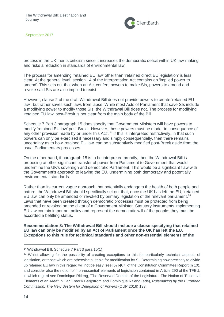

process in the UK merits criticism since it increases the democratic deficit within UK law-making and risks a reduction in standards of environmental law.

The process for amending 'retained EU law' other than 'retained direct EU legislation' is less clear. At the general level, section 14 of the Interpretation Act contains an 'implied power to amend'. This sets out that when an Act confers powers to make SIs, powers to amend and revoke said SIs are also implied to exist.

However, clause 2 of the draft Withdrawal Bill does not provide powers to create 'retained EU law', but rather saves such laws from lapse. While most Acts of Parliament that save SIs include a modifying power to modify those SIs, the Withdrawal Bill does not. The process for modifying 'retained EU law' post-Brexit is not clear from the main body of the Bill.

Schedule 7 Part 3 paragraph 15 does specify that Government Ministers will have powers to modify 'retained EU law' post-Brexit. However, these powers must be made "in consequence of any other provision made by or under this Act".<sup>24</sup> If this is interpreted restrictively, in that such powers can only be exercised if necessary and simply consequentially, then there remains uncertainty as to how 'retained EU law' can be substantively modified post-Brexit aside from the usual Parliamentary processes.

On the other hand, if paragraph 15 is to be interpreted broadly, then the Withdrawal Bill is proposing another significant transfer of power from Parliament to Government that would undermine the UK's sovereign and democratic Parliament. This would be a significant flaw with the Government's approach to leaving the EU, undermining both democracy and potentially environmental standards.

Rather than its current vague approach that potentially endangers the health of both people and nature, the Withdrawal Bill should specifically set out that, once the UK has left the EU, 'retained EU law' can only be amended or revoked by primary legislation of the relevant parliament.<sup>25</sup> Laws that have been created through democratic processes must be protected from being amended or revoked on the diktat of a Government Minister. Statutory instruments implementing EU law contain important policy and represent the democratic will of the people: they must be accorded a befitting status.

**Recommendation 3: The Withdrawal Bill should include a clause specifying that retained EU law can only be modified by an Act of Parliament once the UK has left the EU. Exceptions to this rule for technical standards and other non-essential elements of the** 

<sup>24</sup> Withdrawal Bill, Schedule 7 Part 3 para 15(1).

<sup>&</sup>lt;sup>25</sup> Whilst allowing for the possibility of creating exceptions to this for particularly technical aspects of legislation, or those which are otherwise suitable for modification by SI. Determining how precisely to divide up retained EU law in this regard will not be easy, see [57]-[67] of the Constitution Committee Report (n 10), and consider also the notion of 'non-essential' elements of legislation contained in Article 290 of the TFEU, in which regard see Dominique Ritleng, 'The Reserved Domain of the Legislature: The Notion of 'Essential Elements of an Area'' in Carl Fredrik Bergström and Dominique Ritleng (eds), *Rulemaking by the European Commission: The New System for Delegation of Powers* (OUP 2016) 133.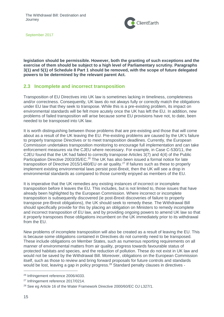

**legislation should be permissible. However, both the granting of such exceptions and the exercise of them should be subject to a high level of Parliamentary scrutiny. Paragraphs 3(1) and 5(1) of Schedule 8 Part 1 should be removed, with the scope of future delegated powers to be determined by the relevant parent Act.**

#### <span id="page-14-0"></span>**2.3 Incomplete and incorrect transposition**

Transposition of EU Directives into UK law is sometimes lacking in timeliness, completeness and/or correctness. Consequently, UK laws do not always fully or correctly match the obligations under EU law that they seek to transpose. While this is a pre-existing problem, its impact on environmental standards will be felt more acutely once the UK has left the EU. In addition, new problems of failed transposition will arise because some EU provisions have not, to date, been needed to be transposed into UK law.

It is worth distinguishing between those problems that are pre-existing and those that will come about as a result of the UK leaving the EU. Pre-existing problems are caused by the UK's failure to properly transpose Directives or to meet transposition deadlines. Currently, the European Commission undertakes transposition monitoring to encourage full implementation and can take enforcement measures via the CJEU where necessary. For example, in Case C-530/11, the CJEU found that the UK had failed to correctly transpose Articles 3(7) and 4(4) of the Public Participation Directive 2003/35/EC.<sup>26</sup> The UK has also been issued a formal notice for late transposition of Directive 2015/1480/EU on air quality.<sup>27</sup> If failures such as these to properly implement existing environmental laws persist post-Brexit, then the UK will see a drop in environmental standards as compared to those currently enjoyed as members of the EU.

It is imperative that the UK remedies any existing instances of incorrect or incomplete transposition before it leaves the EU. This includes, but is not limited to, those issues that have already been highlighted by the European Commission. Where incorrect or incomplete transposition is subsequently discovered (ie post-Brexit discoveries of failure to properly transpose pre-Brexit obligations), the UK should seek to remedy these. The Withdrawal Bill should specifically provide for this by placing an obligation on Ministers to remedy incomplete and incorrect transposition of EU law, and by providing ongoing powers to amend UK law so that it properly transposes those obligations incumbent on the UK immediately prior to its withdrawal from the EU.

New problems of incomplete transposition will also be created as a result of leaving the EU. This is because some obligations contained in Directives do not currently need to be transposed. These include obligations on Member States, such as numerous reporting requirements on all manner of environmental matters from air quality, progress towards favourable status of protected habitats and species, and the reduction of pollution. These do not exist in UK law and would not be saved by the Withdrawal Bill. Moreover, obligations on the European Commission itself, such as those to review and bring forward proposals for future controls and standards would be lost, leaving a gap in policy progress.<sup>28</sup> Standard penalty clauses in directives -

<sup>26</sup> Infringement reference 2006/4033.

<sup>&</sup>lt;sup>27</sup> Infringement reference 2017/0214.

<sup>&</sup>lt;sup>28</sup> See eg Article 16 of the Water Framework Directive 2000/60/EC OJ L327/1.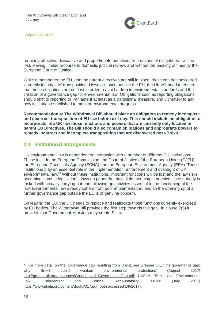

requiring effective, dissuasive and proportionate penalties for breaches of obligations - will be lost, leaving limited recourse to domestic judicial review, and without the backing of fines by the European Court of Justice.

While a member of the EU, and the parent directives are still in place, these can be considered 'correctly incomplete' transposition. However, once outside the EU, the UK will need to ensure that these obligations are not lost in order to avoid a drop in environmental standards and the creation of a governance gap for environmental law. Obligations such as reporting obligations should shift to reporting to Parliament at least as a transitional measure, and ultimately to any new institution established to monitor environmental progress.

**Recommendation 4: The Withdrawal Bill should place an obligation to remedy incomplete and incorrect transposition of EU law before exit day. This should include an obligation to incorporate into UK law those functions and powers that are currently only located in parent EU Directives. The Bill should also contain obligations and appropriate powers to remedy incorrect and incomplete transposition that are discovered post-Brexit.** 

## <span id="page-15-0"></span>**2.4 Institutional arrangements**

UK environmental law is dependent on interaction with a number of different EU institutions. These include the European Commission, the Court of Justice of the European Union (CJEU), the European Chemicals Agency (ECHA) and the European Environment Agency (EEA). These institutions play an essential role in the implementation, enforcement and oversight of UK environmental law.<sup>29</sup> Without these institutions, important functions will be lost and the law risks becoming 'zombie legislation' - laws on paper that have little meaning in practice since nobody is tasked with actually carrying out and following up activities essential to the functioning of the law. Environmental law already suffers from poor implementation, and so the opening up of a further governance gap outside the EU is of genuine concern.

On leaving the EU, the UK needs to replace and reallocate those functions currently exercised by EU bodies. The Withdrawal Bill provides the first step towards this goal. In clause 7(5) it provides that Government Ministers may create SIs to:

<sup>&</sup>lt;sup>29</sup> For more detail on the 'governance gap' resulting from Brexit, see Greener UK, 'The governance gap: why Brexit could weaken environmental protections' (August 2017) [http://greeneruk.org/resources/Greener\\_UK\\_Governance\\_Gap.pdf;](http://greeneruk.org/resources/Greener_UK_Governance_Gap.pdf) UKELA, 'Brexit and Environmental Law: Enforcement and Political Accountability Issues' (July 2017) <https://www.ukela.org/content/doclib/317.pdf> (both accessed 1/9/2017).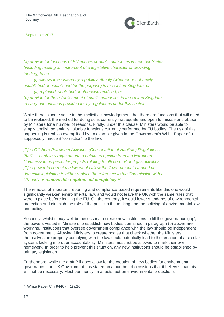

*(a) provide for functions of EU entities or public authorities in member States (including making an instrument of a legislative character or providing funding) to be -*

 *(i) exercisable instead by a public authority (whether or not newly established or established for the purpose) in the United Kingdom, or*

 *(ii) replaced, abolished or otherwise modified, or (b) provide for the establishment of public authorities in the United Kingdom to carry out functions provided for by regulations under this section.*

While there is some value in the implicit acknowledgement that there are functions that will need to be replaced, the method for doing so is currently inadequate and open to misuse and abuse by Ministers for a number of reasons. Firstly, under this clause, Ministers would be able to simply abolish potentially valuable functions currently performed by EU bodies. The risk of this happening is real, as exemplified by an example given in the Government's White Paper of a supposedly innocent 'correction' to the law:

*[T]he Offshore Petroleum Activities (Conservation of Habitats) Regulations 2001 … contain a requirement to obtain an opinion from the European Commission on particular projects relating to offshore oil and gas activities … [T]he power to correct the law would allow the Government to amend our domestic legislation to either replace the reference to the Commission with a UK body or remove this requirement completely.* 30

The removal of important reporting and compliance-based requirements like this one would significantly weaken environmental law, and would not leave the UK with the same rules that were in place before leaving the EU. On the contrary, it would lower standards of environmental protection and diminish the role of the public in the making and the policing of environmental law and policy.

Secondly, whilst it may well be necessary to create new institutions to fill the 'governance gap', the powers vested in Ministers to establish new bodies contained in paragraph (b) above are worrying. Institutions that oversee government compliance with the law should be independent from government. Allowing Ministers to create bodies that check whether the Ministers themselves are properly complying with the law could potentially lead to the creation of a circular system, lacking in proper accountability. Ministers must not be allowed to mark their own homework. In order to help prevent this situation, any new institutions should be established by primary legislation

Furthermore, while the draft Bill does allow for the creation of new bodies for environmental governance, the UK Government has stated on a number of occasions that it believes that this will not be necessary. Most pertinently, in a factsheet on environmental protections

<sup>30</sup> White Paper Cm 9446 (n 1) p20.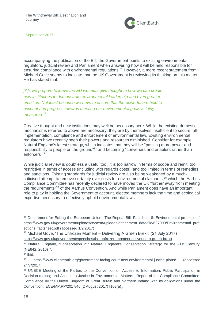

accompanying the publication of the Bill, the Government points to existing environmental regulators, judicial review and Parliament when answering how it will be held responsible for ensuring compliance with environmental regulations.<sup>31</sup> However, a more recent statement from Michael Gove seems to indicate that the UK Government is reviewing its thinking on this matter. He has stated that:

*[A]s we prepare to leave the EU we must give thought to how we can create new institutions to demonstrate environmental leadership and even greater ambition. Not least because we have to ensure that the powerful are held to account and progress towards meeting our environmental goals is fairly measured. 32*

Creative thought and new institutions may well be necessary here. While the existing domestic mechanisms referred to above are necessary, they are by themselves insufficient to secure full implementation, compliance and enforcement of environmental law. Existing environmental regulators have recently seen their powers and resources diminished. Consider for example Natural England's latest strategy, which indicates that they will be "passing more power and responsibility to people on the ground"<sup>33</sup> and becoming "conveners and enablers rather than enforcers".<sup>34</sup>

While judicial review is doubtless a useful tool, it is too narrow in terms of scope and remit, too restrictive in terms of access (including with regards costs), and too limited in terms of remedies and sanctions. Existing standards for judicial review are also being weakened by a muchcriticised attempt to remove certainty over costs for environmental claimants, <sup>35</sup> which the Aarhus Compliance Committee has recently declared to have moved the UK "further away from meeting the requirements"<sup>36</sup> of the Aarhus Convention. And while Parliament does have an important role to play in holding the Government to account, elected members lack the time and ecological expertise necessary to effectively uphold environmental laws.

<sup>31</sup> Department for Exiting the European Union, 'The Repeal Bill. Factsheet 8: Environmental protections' [https://www.gov.uk/government/uploads/system/uploads/attachment\\_data/file/627999/Environmental\\_prot](https://www.gov.uk/government/uploads/system/uploads/attachment_data/file/627999/Environmental_protections_factsheet.pdf) [ections\\_factsheet.pdf](https://www.gov.uk/government/uploads/system/uploads/attachment_data/file/627999/Environmental_protections_factsheet.pdf) (accessed 1/9/2017)

<sup>32</sup> Michael Gove, 'The Unfrozen Moment – Delivering A Green Brexit' (21 July 2017)

<https://www.gov.uk/government/speeches/the-unfrozen-moment-delivering-a-green-brexit>

<sup>33</sup> Natural England, 'Conservation 21: Natural England's Conservation Strategy for the 21st Century' (NE642, 2016) 7.

<sup>34</sup> ibid.

<sup>35</sup> <https://www.clientearth.org/government-facing-court-new-environmental-justice-plans/> (accessed 24/7/2017).

<sup>36</sup> UNECE Meeting of the Parties to the Convention on Access to Information, Public Participation in Decision-making and Access to Justice in Environmental Matters, 'Report of the Compliance Committee: Compliance by the United Kingdom of Great Britain and Northern Ireland with its obligations under the Convention', ECE/MP.PP/2017/46 (2 August 2017) [103(a)].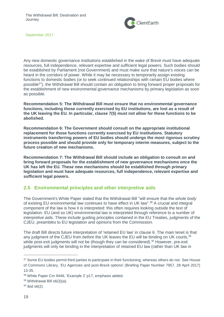

Any new domestic governance institutions established in the wake of Brexit must have adequate resources, full independence, relevant expertise and sufficient legal powers. Such bodies should be established by Parliament (not Government) and must make sure that nature's voices can be heard in the corridors of power. While it may be necessary to temporarily assign existing functions to domestic bodies (or to seek continued relationships with certain EU bodies where possible<sup>37</sup>), the Withdrawal Bill should contain an obligation to bring forward proper proposals for the establishment of new environmental governance mechanisms by primary legislation as soon as possible.

**Recommendation 5: The Withdrawal Bill must ensure that no environmental governance functions, including those currently exercised by EU institutions, are lost as a result of the UK leaving the EU. In particular, clause 7(5) must not allow for these functions to be abolished.**

**Recommendation 6: The Government should consult on the appropriate institutional replacement for those functions currently exercised by EU institutions. Statutory instruments transferring powers of EU bodies should undergo the most rigorous scrutiny process possible and should provide only for temporary interim measures, subject to the future creation of new mechanisms.** 

**Recommendation 7: The Withdrawal Bill should include an obligation to consult on and bring forward proposals for the establishment of new governance mechanisms once the UK has left the EU. These new mechanisms should be established through primary legislation and must have adequate resources, full independence, relevant expertise and sufficient legal powers.**

## <span id="page-18-0"></span>**2.5 Environmental principles and other interpretive aids**

The Government's White Paper stated that the Withdrawal Bill "will ensure that the *whole body* of existing EU environmental law continues to have effect in UK law".<sup>38</sup> A crucial and integral component of the law is how it is interpreted: this often requires looking outside the text of legislation. EU (and so UK) environmental law is interpreted through reference to a number of interpretive aids. These include guiding principles contained in the EU Treaties, judgments of the CJEU, preambles to EU legislation and opinions from the Commission.

The draft Bill directs future interpretation of 'retained EU law' in clause 6. The main tenet is that any judgment of the CJEU from *before* the UK leaves the EU will be binding on UK courts,<sup>39</sup> while post-exit judgments will not be (though they can be considered).<sup>40</sup> However, pre-exit judgments will only be binding in the interpretation of retained EU law (rather than UK law in

<sup>37</sup> Some EU bodies permit third parties to participate in their functioning, whereas others do not. See House of Commons Library, 'EU Agencies and post-Brexit options' (Briefing Paper Number 7957, 28 April 2017) 13-35.

<sup>38</sup> White Paper Cm 9446, 'Example 2' p17, emphasis added.

<sup>39</sup> Withdrawal Bill s6(3)(a).

 $40$  ibid s6(2).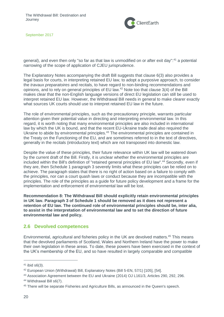

general), and even then only "so far as that law is unmodified on or after exit day":<sup>41</sup> a potential narrowing of the scope of application of CJEU jurisprudence.

The Explanatory Notes accompanying the draft Bill suggests that clause 6(3) also provides a legal basis for courts, in interpreting retained EU law, to adopt a purposive approach, to consider the *travaux preparatoires* and recitals, to have regard to non-binding recommendations and opinions, and to rely on general principles of EU law.<sup>42</sup> Note too that clause 3(4) of the Bill makes clear that the non-English language versions of direct EU legislation can still be used to interpret retained EU law. However, the Withdrawal Bill needs in general to make clearer exactly what sources UK courts should use to interpret retained EU law in the future.

The role of environmental principles, such as the precautionary principle, warrants particular attention given their potential value in directing and interpreting environmental law. In this regard, it is worth noting that many environmental principles are also included in international law by which the UK is bound, and that the recent EU-Ukraine trade deal also required the Ukraine to abide by environmental principles.<sup>43</sup> The environmental principles are contained in the Treaty on the Functioning of the EU, and are sometimes referred to in the text of directives, generally in the recitals (introductory text) which are not transposed into domestic law.

Despite the value of these principles, their future relevance within UK law will be watered down by the current draft of the Bill. Firstly, it is unclear whether the environmental principles are included within the Bill's definition of "retained general principles of EU law".<sup>44</sup> Secondly, even if they are, then Schedule 1 paragraph 3 severely limits what these principles can be relied on to achieve. The paragraph states that there is no right of action based on a failure to comply with the principles, nor can a court quash laws or conduct because they are incompatible with the principles. The role of the principles as a guide for future policy development and a frame for the implementation and enforcement of environmental law will be lost.

**Recommendation 8: The Withdrawal Bill should explicitly retain environmental principles in UK law. Paragraph 3 of Schedule 1 should be removed as it does not represent a retention of EU law. The continued role of environmental principles should be, inter alia, to assist in the interpretation of environmental law and to set the direction of future environmental law and policy.**

#### <span id="page-19-0"></span>**2.6 Devolved competences**

Environmental, agricultural and fisheries policy in the UK are devolved matters. <sup>45</sup> This means that the devolved parliaments of Scotland, Wales and Northern Ireland have the power to make their own legislation in these areas. To date, these powers have been exercised in the context of the UK's membership of the EU, and so have resulted in largely comparable and compatible

<sup>41</sup> ibid s6(3).

<sup>42</sup> European Union (Withdrawal) Bill, Explanatory Notes (Bill 5-EN, 57/1) [105], [54].

<sup>43</sup> Association Agreement between the EU and Ukraine (2014) OJ L161/3, Articles 290, 292, 296.

<sup>44</sup> Withdrawal Bill s6(7).

<sup>45</sup> There will be separate Fisheries and Agriculture Bills, as announced in the Queen's speech.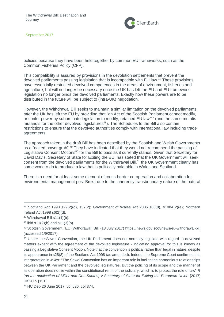

policies because they have been held together by common EU frameworks, such as the Common Fisheries Policy (CFP).

This compatibility is assured by provisions in the devolution settlements that prevent the devolved parliaments passing legislation that is incompatible with EU law.<sup>46</sup> These provisions have essentially restricted devolved competences in the areas of environment, fisheries and agriculture, but will no longer be necessary once the UK has left the EU and EU framework legislation no longer binds the devolved parliaments. Exactly how these powers are to be distributed in the future will be subject to (intra-UK) negotiation.

However, the Withdrawal Bill seeks to maintain a similar limitation on the devolved parliaments *after* the UK has left the EU by providing that "an Act of the Scottish Parliament cannot modify, or confer power by subordinate legislation to modify, retained EU law<sup>"47</sup> (and the same mutatis mutandis for the other devolved legislatures<sup>48</sup>). The Schedules to the Bill also contain restrictions to ensure that the devolved authorities comply with international law including trade agreements.

The approach taken in the draft Bill has been described by the Scottish and Welsh Governments as a "naked power grab".<sup>49</sup> They have indicated that they would not recommend the passing of Legislative Consent Motions<sup>50</sup> for the Bill to pass as it currently stands. Given that Secretary for David Davis, Secretary of State for Exiting the EU, has stated that the UK Government will seek consent from the devolved parliaments for the Withdrawal Bill,<sup>51</sup> the UK Government clearly has some work to do to produce a law that is politically palatable in Wales and Scotland.

There is a need for at least some element of cross-border co-operation and collaboration for environmental management post-Brexit due to the inherently transboundary nature of the natural

<sup>51</sup> HC Deb 26 June 2017, vol 626, col 374.

<sup>46</sup> Scotland Act 1998 s29(2)(d), s57(2); Government of Wales Act 2006 s80(8), s108A(2)(e); Northern Ireland Act 1998 s6(2)(d).

<sup>47</sup> Withdrawal Bill s11(1)(b).

 $48$  ibid s11(2)(b) and s11(3)(b).

<sup>49</sup> Scottish Government, 'EU (Withdrawal) Bill' (13 July 2017)<https://news.gov.scot/news/eu-withdrawal-bill> (accessed 1/9/2017).

<sup>&</sup>lt;sup>50</sup> Under the Sewel Convention, the UK Parliament does not normally legislate with regard to devolved matters except with the agreement of the devolved legislature - indicating approval for this is known as passing a Legislative Consent Motion. Note that the convention is political rather than legal in nature, despite its appearance in s28(8) of the Scotland Act 1998 (as amended). Indeed, the Supreme Court confirmed this interpretation in *Miller*: "The Sewel Convention has an important role in facilitating harmonious relationships between the UK Parliament and the devolved legislatures. But the policing of its scope and the manner of its operation does not lie within the constitutional remit of the judiciary, which is to protect the rule of law" *R (on the application of Miller and Dos Santos) v Secretary of State for Exiting the European Union* [2017] UKSC 5 [151].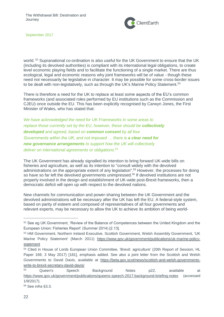

world.<sup>52</sup> Supranational co-ordination is also useful for the UK Government to ensure that the UK (including its devolved authorities) is compliant with its international legal obligations, to create level economic playing fields and to facilitate the functioning of a single market. There are thus ecological, legal and economic reasons why joint frameworks will be of value - though these need not necessarily be legislative in character. It may be possible for some cross-border issues to be dealt with non-legislatively, such as through the UK's Marine Policy Statement.<sup>53</sup>

There is therefore a need for the UK to replace at least some aspects of the EU's common frameworks (and associated roles performed by EU institutions such as the Commission and CJEU) once outside the EU. This has been explicitly recognised by Carwyn Jones, the First Minister of Wales, who has stated that:

*We have acknowledged the need for UK Frameworks in some areas to replace those currently set by the EU, however, these should be <i>collectively developed and agreed, based on common consent by all four Governments within the UK, and not imposed … there is a clear need for new governance arrangements to support how the UK will collectively deliver on international agreements or obligations.*<sup>54</sup>

The UK Government has already signalled its intention to bring forward UK-wide bills on fisheries and agriculture, as well as its intention to "consult widely with the devolved administrations on the appropriate extent of any legislation". <sup>55</sup> However, the processes for doing so have so far left the devolved governments unimpressed.<sup>56</sup> If devolved institutions are not properly involved in the design and establishment of UK-wide post-Brexit frameworks, then a democratic deficit will open up with respect to the devolved nations.

New channels for communication and power-sharing between the UK Government and the devolved administrations will be necessary after the UK has left the EU. A federal-style system, based on parity of esteem and composed of representatives of all four governments and relevant experts, may be necessary to allow the UK to achieve its ambition of being world-

<sup>52</sup> See eg UK Government, 'Review of the Balance of Competences between the United Kingdom and the European Union: Fisheries Report' (Summer 2014) [2.13].

<sup>53</sup> HM Government, Northern Ireland Executive, Scottish Government, Welsh Assembly Government, 'UK Marine Policy Statement' (March 2011) [https://www.gov.uk/government/publications/uk-marine-policy](https://www.gov.uk/government/publications/uk-marine-policy-statement)[statement](https://www.gov.uk/government/publications/uk-marine-policy-statement)

<sup>54</sup> Cited in House of Lords European Union Committee, 'Brexit: agriculture' (20th Report of Session, HL Paper 169, 3 May 2017) [181], emphasis added. See also a joint letter from the Scottish and Welsh Governments to David Davis, available at [https://beta.gov.scot/news/scottish-and-welsh-governments](https://beta.gov.scot/news/scottish-and-welsh-governments-write-to-brexit-secretary-david-davis/)[write-to-brexit-secretary-david-davis/](https://beta.gov.scot/news/scottish-and-welsh-governments-write-to-brexit-secretary-david-davis/)

<sup>55</sup> Queen's Speech Background Notes p22, available at <https://www.gov.uk/government/publications/queens-speech-2017-background-briefing-notes> (accessed 1/9/2017).

<sup>56</sup> See *infra* §3.3.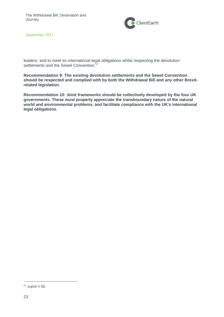

leaders, and to meet its international legal obligations whilst respecting the devolution settlements and the Sewel Convention.<sup>57</sup>

**Recommendation 9: The existing devolution settlements and the Sewel Convention should be respected and complied with by both the Withdrawal Bill and any other Brexitrelated legislation.**

**Recommendation 10: Joint frameworks should be collectively developed by the four UK governments. These must properly appreciate the transboundary nature of the natural world and environmental problems, and facilitate compliance with the UK's international legal obligations.**

<sup>57</sup> *supra* n 50.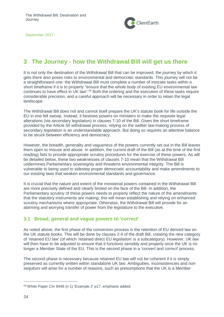

# <span id="page-23-0"></span>**3 The Journey - how the Withdrawal Bill will get us there**

It is not only the destination of the Withdrawal Bill that can be improved, the journey by which it gets there also poses risks to environmental and democratic standards. This journey will not be a straightforward one: the Withdrawal Bill must complete a number of intricate tasks within a short timeframe if it is to properly "ensure that the *whole body* of existing EU environmental law continues to have effect in UK law".<sup>58</sup> Both the ordering and the execution of these tasks require considerable precision, and a careful approach will be necessary in order to retain the legal landscape.

The Withdrawal Bill does not and cannot itself prepare the UK's statute book for life outside the EU in one fell swoop. Instead, it bestows powers on ministers to make the requisite legal alterations (via secondary legislation) in clauses 7-10 of the Bill. Given the short timeframe provided by the Article 50 withdrawal process, relying on the swifter law-making process of secondary legislation is an understandable approach. But doing so requires an attentive balance to be struck between efficiency and democracy.

However, the breadth, generality and vagueness of the powers currently set out in the Bill leaves them open to misuse and abuse. In addition, the current draft of the Bill (as at the time of the first reading) fails to provide appropriate scrutiny procedures for the exercise of these powers. As will be detailed below, these two weaknesses of clauses 7-10 mean that the Withdrawal Bill undermines Parliamentary sovereignty and threatens environmental integrity. The Bill is vulnerable to being used to sidestep proper democratic accountability and make amendments to our existing laws that weaken environmental standards and governance.

It is crucial that the nature and extent of the ministerial powers contained in the Withdrawal Bill are more precisely defined and clearly limited on the face of the Bill. In addition, the Parliamentary scrutiny of these powers needs to properly reflect the nature of the amendments that the statutory instruments are making: this will mean establishing and relying on enhanced scrutiny mechanisms where appropriate. Otherwise, the Withdrawal Bill will provide for an alarming and worrying transfer of power from the legislature to the executive.

## <span id="page-23-1"></span>**3.1 Broad, general and vague powers to 'correct'**

As noted above, the first phase of the conversion process is the retention of EU derived law on the UK statute books. This will be done by clauses 2-4 of the draft Bill, creating the new category of 'retained EU law' (of which 'retained direct EU legislation' is a subcategory). However, UK law will then have to be adjusted to ensure that it functions sensibly and properly once the UK is no longer a Member State of the EU. This is the second phase in a 'convert and correct' process.

The second phase is necessary because retained EU law will not be coherent if it is simply preserved as currently written within standalone UK law. Ambiguities, inconsistencies and *non sequiturs* will arise for a number of reasons, such as presumptions that the UK is a Member

<sup>58</sup> White Paper Cm 9446 (n 1) 'Example 2' p17, emphasis added.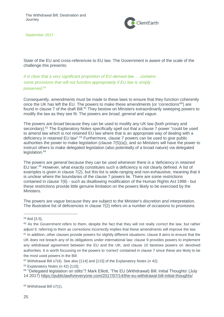

State of the EU and cross-references to EU law. The Government is aware of the scale of the challenge this presents:

*It is clear that a very significant proportion of EU-derived law … contains some provisions that will not function appropriately if EU law is simply preserved.* 59

Consequently, amendments must be made to these laws to ensure that they function coherently once the UK has left the EU. The powers to make these amendments (or 'corrections'<sup>60</sup>) are found in clause 7 of the draft Bill.<sup>61</sup> They bestow on Ministers extraordinarily sweeping powers to modify the law as they see fit. The powers are *broad*, *general* and *vague*.

The powers are *broad* because they can be used to modify *any* UK law (both primary and secondary).<sup>62</sup> The Explanatory Notes specifically spell out that a clause 7 power "could be used to amend law which is not retained EU law where that is an appropriate way of dealing with a deficiency in retained EU law".<sup>63</sup> Furthermore, clause 7 powers can be used to give public authorities the power to make legislation (clause 7(5)(a)), and so Ministers will have the power to instruct others to make delegated legislation (also potentially of a broad nature) via delegated legislation.<sup>64</sup>

The powers are *general* because they can be used whenever there is a 'deficiency in retained EU law'.<sup>65</sup> However, what exactly constitutes such a deficiency is not clearly defined. A list of examples is given in clause 7(2), but this list is wide-ranging and non-exhaustive, meaning that it is unclear where the boundaries of the clause 7 powers lie. There are some restrictions contained in clause 7(6) - such as disallowing modification of the Human Rights Act 1998 - but these restrictions provide little genuine limitation on the powers likely to be exercised by the Ministers.

The powers are *vague* because they are subject to the Minister's discretion and interpretation. The illustrative list of deficiencies in clause 7(2) refers on a number of occasions to provisions

<sup>59</sup> ibid [3.5].

<sup>60</sup> As the Government refers to them, despite the fact that they will not really *correct* the law, but rather *adjust* it: referring to them as corrections incorrectly implies that these amendments will improve the law.

<sup>&</sup>lt;sup>61</sup> In addition, other clauses provide powers for slightly different situations: clause 8 aims to ensure that the UK does not breach any of its obligations under international law; clause 9 provides powers to implement any withdrawal agreement between the EU and the UK; and clause 10 bestows powers on devolved authorities. It is worth focussing on the powers to 'correct' contained in clause 7 since these are likely to be the most used powers in the Bill.

<sup>62</sup> Withdrawal Bill s7(4). See also [114] and [115] of the Explanatory Notes (n 42).

<sup>63</sup> Explanatory Notes (n 42) [115].

<sup>64</sup> "Delegated legislation on stilts"? Mark Elliott, 'The EU (Withdrawal) Bill: Initial Thoughts' (July 14 2017)<https://publiclawforeveryone.com/2017/07/14/the-eu-withdrawal-bill-initial-thoughts/>

<sup>65</sup> Withdrawal Bill s7(1).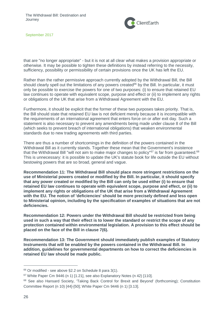

that are "no longer appropriate" - but it is not at all clear what makes a provision appropriate or otherwise. It may be possible to tighten these definitions by instead referring to the necessity, sufficiency, possibility or permissibility of certain provisions once the UK has left the EU.

Rather than the rather permissive approach currently adopted by the Withdrawal Bill, the Bill should clearly spell out the limitations of any powers created<sup>66</sup> by the Bill. In particular, it must only be possible to exercise the powers for one of two purposes: (i) to ensure that retained EU law continues to operate with equivalent scope, purpose and effect or (ii) to implement any rights or obligations of the UK that arise from a Withdrawal Agreement with the EU.

Furthermore, it should be explicit that the former of these two purposes takes priority. That is, the Bill should state that retained EU law is not deficient merely because it is incompatible with the requirements of an international agreement that enters force on or after exit day. Such a statement is also necessary to prevent any amendments being made under clause 8 of the Bill (which seeks to prevent breach of international obligations) that weaken environmental standards due to new trading agreements with third parties.

There are thus a number of shortcomings in the definition of the powers contained in the Withdrawal Bill as it currently stands. Together these mean that the Government's insistence that the Withdrawal Bill "will not aim to make major changes to policy"<sup>67</sup> is far from guaranteed.<sup>68</sup> This is unnecessary: it is possible to update the UK's statute book for life outside the EU without bestowing powers that are so broad, general and vague.

**Recommendation 11: The Withdrawal Bill should place more stringent restrictions on the use of Ministerial powers created or modified by the Bill. In particular, it should specify that any power created or modified by the Bill can only be used either (i) to ensure that retained EU law continues to operate with equivalent scope, purpose and effect, or (ii) to implement any rights or obligations of the UK that arise from a Withdrawal Agreement with the EU. The notion of 'deficiencies' should be more precisely defined and less open to Ministerial opinion, including by the specification of examples of situations that are not deficiencies.** 

**Recommendation 12: Powers under the Withdrawal Bill should be restricted from being used in such a way that their effect is to lower the standard or restrict the scope of any protection contained within environmental legislation. A provision to this effect should be placed on the face of the Bill in clause 7(6).**

**Recommendation 13: The Government should immediately publish examples of Statutory Instruments that will be enabled by the powers contained in the Withdrawal Bill. In addition, guidelines for governmental departments on how to correct the deficiencies in retained EU law should be made public.** 

<sup>66</sup> Or modified - see above §2.2 on Schedule 8 para 3(1).

<sup>67</sup> White Paper Cm 9446 (n 1) [1.21], see also Explanatory Notes (n 42) [110].

<sup>&</sup>lt;sup>68</sup> See also Hansard Society, 'Taking Back Control for Brexit and Beyond' (forthcoming); Constitution Committee Report (n 10) [44]-[50]; White Paper Cm 9446 (n 1) [3.13].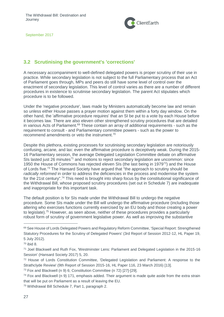

# <span id="page-26-0"></span>**3.2 Scrutinising the government's 'corrections'**

A necessary accompaniment to well-defined delegated powers is proper scrutiny of their use in practice. While secondary legislation is not subject to the full Parliamentary process that an Act of Parliament goes through, MPs and peers do still have some level of control over the enactment of secondary legislation. This level of control varies as there are a number of different procedures in existence to scrutinise secondary legislation. The parent Act stipulates which procedure is to be followed.

Under the 'negative procedure', laws made by Ministers automatically become law and remain so unless either House passes a prayer motion against them within a forty day window. On the other hand, the 'affirmative procedure requires' that an SI be put to a vote by each House before it becomes law. There are also eleven other strengthened scrutiny procedures that are detailed in various Acts of Parliament.<sup>69</sup> These contain an array of additional requirements - such as the requirement to consult - and Parliamentary committee powers - such as the power to recommend amendments or veto the instrument.<sup>70</sup>

Despite this plethora, existing processes for scrutinising secondary legislation are notoriously confusing, arcane, and lax: even the affirmative procedure is deceptively weak. During the 2015- 16 Parliamentary session, the average Delegated Legislation Committee debate on affirmative SIs lasted just 26 minutes<sup>71</sup> and motions to reject secondary legislation are uncommon: since 1950 the House of Commons has rejected eleven SIs (the last being in 1979<sup>72</sup>) and the House of Lords five.<sup>73</sup> The Hansard Society have argued that "the approach to scrutiny should be *radically reformed* in order to address the deficiencies in the process and modernise the system for the 21st century".<sup>74</sup> This need is brought into sharp focus by the constitutional significance of the Withdrawal Bill, whose proposed scrutiny procedures (set out in Schedule 7) are inadequate and inappropriate for this important task.

The default position is for SIs made under the Withdrawal Bill to undergo the negative procedure. Some SIs made under the Bill will undergo the affirmative procedure (including those altering who exercises functions currently exercised by an EU body and those creating a power to legislate).<sup>75</sup> However, as seen above, neither of these procedures provides a particularly robust form of scrutiny of government legislative power. As well as improving the substantive

<sup>69</sup> See House of Lords Delegated Powers and Regulatory Reform Committee, 'Special Report: Strengthened Statutory Procedures for the Scrutiny of Delegated Powers' (3rd Report of Session 2012-12, HL Paper 19, 5 July 2012).

<sup>70</sup> ibid 8.

<sup>71</sup> Joel Blackwell and Ruth Fox, 'Westminster Lens: Parliament and Delegated Legislation in the 2015-16 Session' (Hansard Society 2017) 5, 20.

<sup>72</sup> House of Lords Constitution Committee, 'Delegated Legislation and Parliament: A response to the Strathclyde Review' (9th Report of Session 2015-16, HL Paper 116, 23 March 2016) [13].

<sup>73</sup> Fox and Blackwell (n 9) 6; Constitution Committee (n 72) [27]-[29].

 $74$  Fox and Blackwell (n 9) 171, emphasis added. Their argument is made quite aside from the extra strain that will be put on Parliament as a result of leaving the EU.

<sup>75</sup> Withdrawal Bill Schedule 7, Part 1, paragraph 2.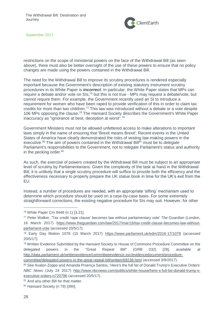

restrictions on the scope of ministerial powers on the face of the Withdrawal Bill (as seen above), there must also be better oversight of the use of these powers to ensure that no policy changes are made using the powers contained in the Withdrawal Bill.

The need for the Withdrawal Bill to improve its scrutiny procedures is rendered especially important because the Government's description of existing statutory instrument scrutiny procedures in its White Paper is *incorrect*. In particular, the White Paper states that MPs can require a debate and/or vote on SIs,<sup>76</sup> but this is not true - MPs may request a debate/vote, but cannot require them. For example, the Government recently used an SI to introduce a requirement for women who have been raped to provide verification of this in order to claim tax credits for more than two children.<sup>77</sup> This law was introduced without a debate or a vote despite 106 MPs opposing the clause.<sup>78</sup> The Hansard Society describes the Government's White Paper inaccuracy as "ignorance at best, deception at worst".<sup>79</sup>

Government Ministers must not be allowed unfettered access to make alterations to important laws simply in the name of ensuring that 'Brexit means Brexit'. Recent events in the United States of America have clearly demonstrated the risks of vesting law-making powers in the executive.<sup>80</sup> The aim of powers contained in the Withdrawal Bill<sup>81</sup> must be to *delegate* Parliament's responsibilities to the Government, not to *relegate* Parliament's status and authority in the pecking order.<sup>82</sup>

As such, the exercise of powers created by the Withdrawal Bill must be subject to an appropriate level of scrutiny by Parliamentarians. Given the complexity of the task at hand in the Withdrawal Bill, it is unlikely that a single scrutiny procedure will suffice to provide both the efficiency and the effectiveness necessary to properly prepare the UK statue book in time for the UK's exit from the EU.

Instead, a number of procedures are needed, with an appropriate 'sifting' mechanism used to determine which procedure should be used on a case-by-case basis. For some extremely straightforward corrections, the existing negative procedure for SIs may suit. However, for other

<sup>76</sup> White Paper Cm 9446 (n 1) [3.21].

<sup>77</sup> Peter Walker, 'Tax credit 'rape clause' becomes law without parliamentary vote' *The Guardian* (London, 16 March 2017) [https://www.theguardian.com/law/2017/mar/16/tax-credit-clause-becomes-law-without](https://www.theguardian.com/law/2017/mar/16/tax-credit-clause-becomes-law-without-parliament-vote)[parliament-vote](https://www.theguardian.com/law/2017/mar/16/tax-credit-clause-becomes-law-without-parliament-vote) (accessed 20/5/17).

<sup>78</sup> Early Day Motion 1078 (15 March 2017) <https://www.parliament.uk/edm/2016-17/1078> (accessed 20/5/17).

<sup>79</sup> Written Evidence Submitted by the Hansard Society to House of Commons Procedure Committee on the delegated powers in the "Great Repeal Bill" (GRB 032) [28], available at [http://data.parliament.uk/writtenevidence/committeeevidence.svc/evidencedocument/procedure-](http://data.parliament.uk/writtenevidence/committeeevidence.svc/evidencedocument/procedure-committee/delegated-powers-in-the-great-repeal-bill/written/69238.html)

[committee/delegated-powers-in-the-great-repeal-bill/written/69238.html](http://data.parliament.uk/writtenevidence/committeeevidence.svc/evidencedocument/procedure-committee/delegated-powers-in-the-great-repeal-bill/written/69238.html) (accessed 3/9/2017).

<sup>80</sup> See Avalon Zoppo and Amanda Proença Santos, 'Here's the full list of Donald Trump's Executive Orders' *NBC News* (July 24 2017) [http://www.nbcnews.com/politics/white-house/here-s-full-list-donald-trump-s](http://www.nbcnews.com/politics/white-house/here-s-full-list-donald-trump-s-executive-orders-n720796)[executive-orders-n720796](http://www.nbcnews.com/politics/white-house/here-s-full-list-donald-trump-s-executive-orders-n720796) (accessed 20/5/17).

<sup>81</sup> And any other Bill for that matter.

<sup>82</sup> Hansard Society (n 79) [39II].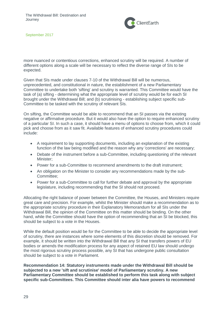

more nuanced or contentious corrections, enhanced scrutiny will be required. A number of different options along a scale will be necessary to reflect the diverse range of SIs to be expected.

Given that SIs made under clauses 7-10 of the Withdrawal Bill will be numerous, unprecedented, and constitutional in nature, the establishment of a new Parliamentary Committee to undertake both 'sifting' and scrutiny is warranted. This Committee would have the task of (a) sifting - determining what the appropriate level of scrutiny would be for each SI brought under the Withdrawal Bill; and (b) scrutinising - establishing subject specific sub-Committee to be tasked with the scrutiny of relevant SIs.

On sifting, the Committee would be able to recommend that an SI passes via the existing negative or affirmative procedure. But it would also have the option to require enhanced scrutiny of a particular SI. In such a case, it should have a menu of options to choose from, which it could pick and choose from as it saw fit. Available features of enhanced scrutiny procedures could include:

- A requirement to lay supporting documents, including an explanation of the existing function of the law being modified and the reason why any 'corrections' are necessary;
- Debate of the instrument before a sub-Committee, including questioning of the relevant Minister;
- Power for a sub-Committee to recommend amendments to the draft instrument;
- An obligation on the Minister to consider any recommendations made by the sub-Committee;
- Power for a sub-Committee to call for further debate and approval by the appropriate legislature, including recommending that the SI should not proceed.

Allocating the right balance of power between the Committee, the Houses, and Ministers require great care and precision. For example, whilst the Minister should make a recommendation as to the appropriate scrutiny procedure in their Explanatory Memorandum for all SIs under the Withdrawal Bill, the opinion of the Committee on this matter should be binding. On the other hand, while the Committee should have the option of recommending that an SI be blocked, this should be subject to a vote in the Houses.

While the default position would be for the Committee to be able to decide the appropriate level of scrutiny, there are instances where some elements of this discretion should be removed. For example, it should be written into the Withdrawal Bill that any SI that transfers powers of EU bodies or amends the modification process for any aspect of retained EU law should undergo the most rigorous scrutiny process possible, any SI that has undergone public consultation should be subject to a vote in Parliament.

**Recommendation 14: Statutory instruments made under the Withdrawal Bill should be subjected to a new 'sift and scrutinise' model of Parliamentary scrutiny. A new Parliamentary Committee should be established to perform this task along with subject specific sub-Committees. This Committee should inter alia have powers to recommend**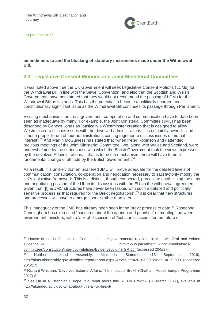

#### **amendments to and the blocking of statutory instruments made under the Withdrawal Bill.**

## <span id="page-29-0"></span>**3.3 Legislative Consent Motions and Joint Ministerial Committees**

It was noted above that the UK Government will seek Legislative Consent Motions (LCMs) for the Withdrawal Bill in line with the Sewel Convention, and also that the Scottish and Welsh Governments have both stated that they would not recommend the passing of LCMs for the Withdrawal Bill as it stands. This has the potential to become a politically charged and constitutionally significant issue as the Withdrawal Bill continues its passage through Parliament.

Existing mechanisms for cross-government co-operation and communication have to date been seen as inadequate by many. For example, the Joint Ministerial Committee (JMC) has been described by Carwyn Jones as "basically a Westminster creation that is designed to allow Westminster to discuss issues with the devolved administrations. It is not jointly owned... and it is not a proper forum of four administrations coming together to discuss issues of mutual interest".<sup>83</sup> And Martin McGuiness has stated that "when Peter Robinson and I attended previous meetings of the Joint Ministerial Committee...we, along with Wales and Scotland, were underwhelmed by the seriousness with which the British Government took the views expressed by the devolved Administrations. If that is to be the mechanism, there will have to be a fundamental change of attitude by the British Government".<sup>84</sup>

As a result, it is unlikely that an unaltered JMC will prove adequate for the detailed levels of communication, consultation, co-operation and negotiation necessary to satisfactorily modify the UK's legislative framework. This is a distinct, though connected, process to establishing the aims and negotiating position of the UK in its discussions with the EU on the withdrawal agreement. Given that "[t]he JMC structures have never been tasked with such a detailed and politically sensitive process as that required for the Brexit negotiations",<sup>85</sup> it is clear that new structures and processes will have to emerge sooner rather than later.

This inadequacy of the JMC has already been seen in the Brexit process to date.<sup>86</sup> Roseanna Cunningham has expressed "concerns about the agenda and priorities" of meetings between environment ministers, with a lack of discussion of "substantial issues for the future of

<sup>83</sup> House of Lords Constitution Committee, 'Inter-governmental relations in the UK: Oral and written evidence' 74. [http://www.parliament.uk/documents/lords-](http://www.parliament.uk/documents/lords-committees/constitution/inter-gov-relations/EvidencevolumeIGR.pdf)

[committees/constitution/inter-gov-relations/EvidencevolumeIGR.pdf](http://www.parliament.uk/documents/lords-committees/constitution/inter-gov-relations/EvidencevolumeIGR.pdf) (accessed 20/5/17).

<sup>84</sup> Northern Ireland Assembly, Ministerial Statement (13 September 2016), <http://aims.niassembly.gov.uk/officialreport/report.aspx?&eveDate=2016/09/13&docID=270890> (accessed 20/5/17).

<sup>85</sup> Richard Whitman, 'Devolved External Affairs: The Impact of Brexit' (Chatham House Europe Programme 2017) 8.

<sup>86</sup> See UK in a Changing Europe, 'So, what about this 'All UK Brexit'?' (30 March 2017), available at <http://ukandeu.ac.uk/so-what-about-this-all-uk-brexit/>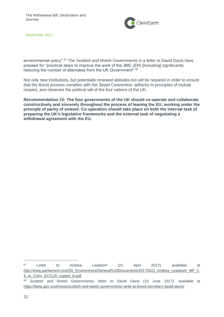

environmental policy".<sup>87</sup> The Scottish and Welsh Governments in a letter to David Davis have pressed for "practical steps to improve the work of the JMC (EN) [including] significantly reducing the number of attendees from the UK Government".<sup>88</sup>

Not only new institutions, but potentially renewed attitudes too will be required in order to ensure that the Brexit process complies with the Sewel Convention, adheres to principles of mutual respect, and observes the political will of the four nations of the UK.

**Recommendation 15: The four governments of the UK should co-operate and collaborate constructively and sincerely throughout the process of leaving the EU, working under the principle of parity of esteem. Co-operation should take place on both the internal task of preparing the UK's legislative frameworks and the external task of negotiating a withdrawal agreement with the EU.** 

<sup>87</sup> Letter to Andrea Leadsom (21 April 2017), available at [http://www.parliament.scot/S5\\_Environment/General%20Documents/20170421\\_Andrea\\_Leadsom\\_MP\\_C](http://www.parliament.scot/S5_Environment/General%20Documents/20170421_Andrea_Leadsom_MP_CS_to_Conv_ECCLR_copied_in.pdf) S to Conv ECCLR copied in.pdf

<sup>88</sup> Scottish and Welsh Governments, letter to David Davis (15 June 2017), available at <https://beta.gov.scot/news/scottish-and-welsh-governments-write-to-brexit-secretary-david-davis/>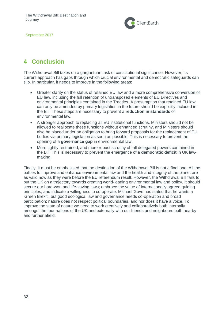

# <span id="page-31-0"></span>**4 Conclusion**

The Withdrawal Bill takes on a gargantuan task of constitutional significance. However, its current approach has gaps through which crucial environmental and democratic safeguards can slip. In particular, it needs to improve in the following areas:

- Greater clarity on the status of retained EU law and a more comprehensive conversion of EU law, including the full retention of untransposed elements of EU Directives and environmental principles contained in the Treaties. A presumption that retained EU law can only be amended by primary legislation in the future should be explicitly included in the Bill. These steps are necessary to prevent a **reduction in standards** of environmental law.
- A stronger approach to replacing all EU institutional functions. Ministers should not be allowed to reallocate these functions without enhanced scrutiny, and Ministers should also be placed under an obligation to bring forward proposals for the replacement of EU bodies via primary legislation as soon as possible. This is necessary to prevent the opening of a **governance gap** in environmental law.
- More tightly restrained, and more robust scrutiny of, all delegated powers contained in the Bill. This is necessary to prevent the emergence of a **democratic deficit** in UK lawmaking.

Finally, it must be emphasised that the destination of the Withdrawal Bill is not a final one. All the battles to improve and enhance environmental law and the health and integrity of the planet are as valid now as they were before the EU referendum result. However, the Withdrawal Bill fails to put the UK on a trajectory towards creating world-leading environmental law and policy. It should secure our hard-won and life-saving laws; embrace the value of internationally agreed guiding principles; and indicate a willingness to co-operate. Michael Gove has stated that he wants a 'Green Brexit', but good ecological law and governance needs co-operation and broad participation: nature does not respect political boundaries, and nor does it have a voice. To improve the state of nature we need to work creatively and collaboratively both internally amongst the four nations of the UK and externally with our friends and neighbours both nearby and further afield.